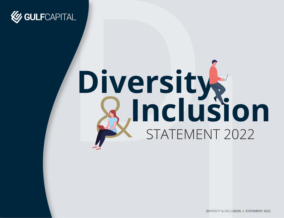

# Diversity<br>**B.Inclusion**<br>B.Inclusion

DIVERSITY & INCLUSION · STATEMENT 2022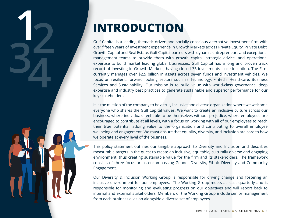# **INTRODUCTION**

**1234**

Gulf Capital is a leading thematic driven and socially conscious alternative investment firm with over fifteen years of investment experience in Growth Markets across Private Equity, Private Debt, Growth Capital and Real Estate. Gulf Capital partners with dynamic entrepreneurs and exceptional management teams to provide them with growth capital, strategic advice, and operational expertise to build market leading global businesses. Gulf Capital has a long and proven track record of investing in Growth Markets, having closed 36 investments since inception. The Firm currently manages over \$2.5 billion in assets across seven funds and investment vehicles. We focus on resilient, forward looking sectors such as Technology, Fintech, Healthcare, Business Services and Sustainability. Our mission is to build value with world-class governance, deep expertise and industry best practices to generate sustainable and superior performance for our key stakeholders.

It is the mission of the company to be a truly inclusive and diverse organization where we welcome everyone who shares the Gulf Capital values. We want to create an inclusive culture across our business, where individuals feel able to be themselves without prejudice, where employees are encouraged to contribute at all levels, with a focus on working with all of our employees to reach their true potential, adding value to the organization and contributing to overall employee wellbeing and engagement. We must ensure that equality, diversity, and inclusion are core to how we operate at every level of the business.

This policy statement outlines our tangible approach to Diversity and Inclusion and describes measurable targets in the quest to create an inclusive, equitable, culturally diverse and engaging environment, thus creating sustainable value for the firm and its stakeholders. The framework consists of three focus areas encompassing Gender Diversity, Ethnic Diversity and Community Engagement.

Our Diversity & Inclusion Working Group is responsible for driving change and fostering an inclusive environment for our employees. The Working Group meets at least quarterly and is responsible for monitoring and evaluating progress on our objectives and will report back to internal and external stakeholders. Members of the Working Group include senior management from each business division alongside a diverse set of employees.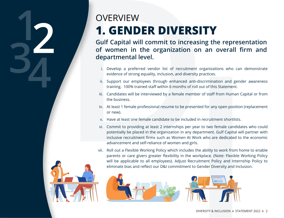### **1. GENDER DIVERSITY OVERVIEW**

**Gulf Capital will commit to increasing the representation of women in the organization on an overall firm and departmental level.**

- i. Develop a preferred vendor list of recruitment organizations who can demonstrate evidence of strong equality, inclusion, and diversity practices.
- ii. Support our employees through enhanced anti-discrimination and gender awareness training. 100% trained staff within 6 months of roll out of this Statement.
- iii. Candidates will be interviewed by a female member of staff from Human Capital or from the business.
- iv. At least 1 female professional resume to be presented for any open position (replacement or new).
- v. Have at least one female candidate to be included in recruitment shortlists.
- vi. Commit to providing at least 2 internships per year to two female candidates who could potentially be placed in the organization in any department. Gulf Capital will partner with inclusive recruitment firms such as Women At Work who are dedicated to the economic advancement and self-reliance of women and girls.
- vii. Roll out a Flexible Working Policy which includes the ability to work from home to enable parents or care givers greater flexibility in the workplace. (Note: Flexible Working Policy will be applicable to all employees). Adjust Recruitment Policy and Internship Policy to eliminate bias and reflect our D&I commitment to Gender Diversity and Inclusion.





**1234**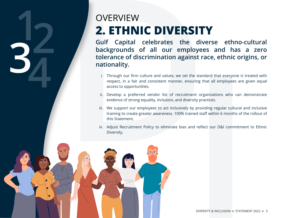## **2. ETHNIC DIVERSITY OVERVIEW**

**Gulf Capital celebrates the diverse ethno-cultural backgrounds of all our employees and has a zero tolerance of discrimination against race, ethnic origins, or nationality.** 

- i. Through our firm culture and values, we set the standard that everyone is treated with respect, in a fair and consistent manner, ensuring that all employees are given equal access to opportunities.
- ii. Develop a preferred vendor list of recruitment organizations who can demonstrate evidence of strong equality, inclusion, and diversity practices.
- iii. We support our employees to act inclusively by providing regular cultural and inclusive training to create greater awareness. 100% trained staff within 6 months of the rollout of this Statement.
- iv. Adjust Recruitment Policy to eliminate bias and reflect our D&I commitment to Ethnic Diversity.



**1234**